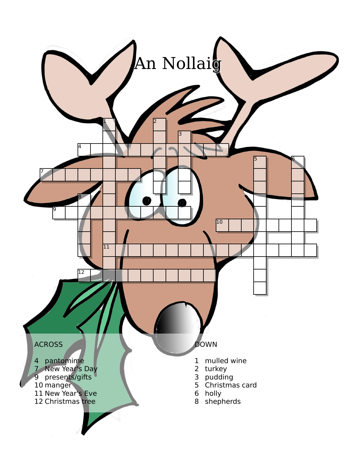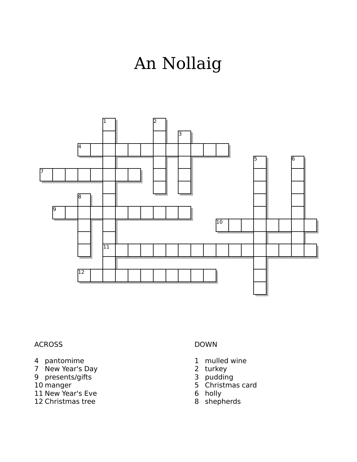## An Nollaig



## ACROSS

- pantomime
- New Year's Day
- presents/gifts
- manger
- New Year's Eve
- Christmas tree

## DOWN

- mulled wine
- turkey
- pudding
- Christmas card
- holly
- shepherds